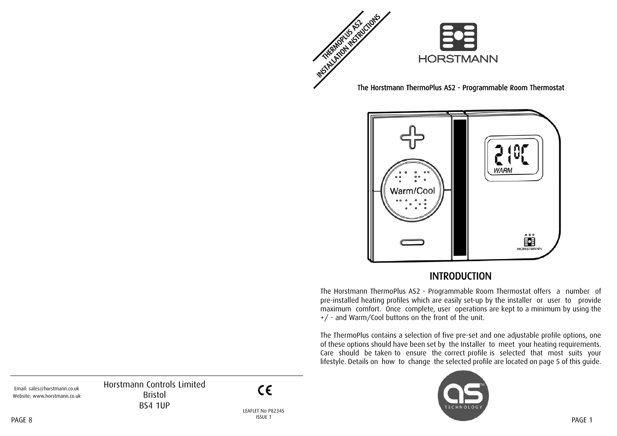

The Horstmann ThermoPlus AS2 - Programmable Room Thermostat



#### INTRODUCTION

The Horstmann ThermoPlus AS2 - Programmable Room Thermostat offers a number of pre-installed heating profiles which are easily set-up by the installer or user to provide maximum comfort. Once complete, user operations are kept to a minimum by using the +/ - and Warm/Cool buttons on the front of the unit.

The ThermoPlus contains a selection of five pre-set and one adjustable profile options, one of these options should have been set by the Installer to meet your heating requirements. Care should be taken to ensure the correct profile is selected that most suits your lifestyle. Details on how to change the selected profile are located on page 5 of this guide.



Horstmann Controls Limited Bristol BS4 1UP

 $\epsilon$ 

Email: sales@horstmann.co.uk Website: www.horstmann.co.uk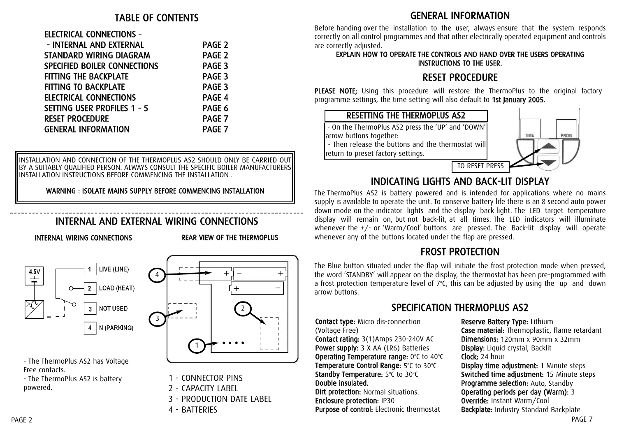#### ELECTRICAL CONNECTIONS -

| - INTERNAL AND EXTERNAL             | PAGE <sub>2</sub> |
|-------------------------------------|-------------------|
| STANDARD WIRING DIAGRAM             | PAGE <sub>2</sub> |
| <b>SPECIFIED BOILER CONNECTIONS</b> | PAGE <sub>3</sub> |
| <b>FITTING THE BACKPLATE</b>        | PAGE 3            |
| <b>FITTING TO BACKPLATE</b>         | PAGE 3            |
| <b>ELECTRICAL CONNECTIONS</b>       | PAGE 4            |
| <b>SETTING USER PROFILES 1 - 5</b>  | PAGE 6            |
| <b>RESET PROCEDURE</b>              | PAGE 7            |
| <b>GENERAL INFORMATION</b>          | PAGE 7            |
|                                     |                   |

INSTALLATION AND CONNECTION OF THE THERMOPLUS AS2 SHOULD ONLY BE CARRIED OUT BY A SUITABLY QUALIFIED PERSON. ALWAYS CONSULT THE SPECIFIC BOILER MANUFACTURERS INSTALLATION INSTRUCTIONS BEFORE COMMENCING THE INSTALLATION .

WARNING : ISOLATE MAINS SUPPLY BEFORE COMMENCING INSTALLATION

# INTERNAL AND EXTERNAL WIRING CONNECTIONS

INTERNAL WIRING CONNECTIO

NS REAR VIEW OF THE THERM OPLUS



- The ThermoPlus AS2 has Voltage Free contacts.

- The ThermoPlus AS2 is battery powered.



- 1 CONNECTOR PINS
- 2 CAPACITY LABEL
- 3 PRODUCTION DATE LABEL
- 4 BATTERIES

### GENERAL INFORMATION

Before handing over the installation to the user, always ensure that the system responds correctly on all control programmes and that other electrically operated equipment and controls are correctly adjusted.

#### EXPLAIN HOW TO OPERATE THE CONTROLS AND HAND OVER THE USERS OPERATING INSTRUCTIO NS TO THE USER.

# RESET PROCEDURE

PLEASE N OTE; Using this procedure will restore the ThermoPlus to the original factory programme settings, the time setting will also default to 1st January 2005.



## INDICATING LIGHTS AND BACK-LIT DISPLAY

The ThermoPlus AS2 is battery powered and is intended for applications where no mains supply is available to operate the unit. To conserve battery life there is an 8 second auto power down mode on the indicator lights and the display back light. The LED target temperature display will remain on, but not back-lit, at all times. The LED indicators will illuminate whenever the +/- or 'Warm/Cool' buttons are pressed. The Back-lit display will operate whenever any of the buttons located under the flap are pressed.

## FROST PROTECTION

The Blue button situated under the flap will initiate the frost protection mode when pressed, the word 'STANDBY' will appear on the display, the thermostat has been pre-programmed with a frost protection temperature level of  $7^{\circ}$ C, this can be adjusted by using the up and down arrow buttons.

# SPECIFICATION THERMOPLUS AS2

Contact type: Micro dis-connection (Voltage Free)

Contact rating: 3(1)Amps 230-240V AC Power supply: 3 X AA (LR6) Batteries Operating Temperature range: 0°C to 40°C **Temperature Control Range:** 5°C to 30°C <code>Standby</code> Temperature: 5°C to 30°C  $\,$ Double insulated. Dirt protection: Normal situations.

### Enclosure protection: IP30

Purpose of control: Electronic thermostat

Reserve Battery Type: Lithium Case material: Thermoplastic, flame retardant Dimensions: 120mm x 90mm x 32mm Display: Liquid crystal, Backlit Clock: 24 hour Display time adjustment: 1 Minute steps Switched time adjustment: 15 Minute steps **Programme selection:** Auto, Standby Operating periods per day (Warm): 3 Override: Instant Warm/Cool Backplate: Industry Standard Backplate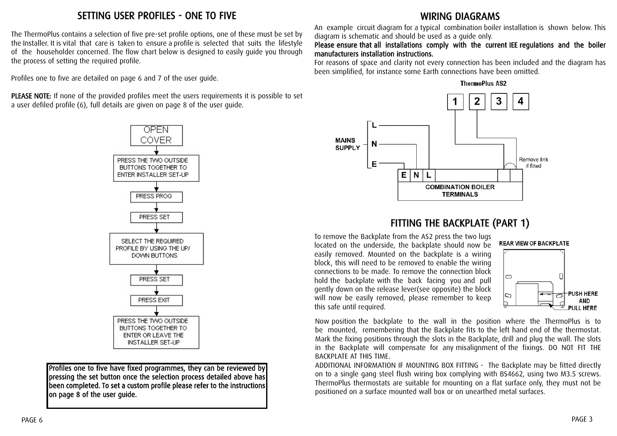## SETTING USER PROFILES - ONE TO FIVE

The ThermoPlus contains a selection of five pre-set profile options, one of these must be set by the Installer. It is vital that care is taken to ensure a profile is selected that suits the lifestyle of the householder concerned. The flow chart below is designed to easily guide you through the process of setting the required profile.

Profiles one to five are detailed on page 6 and 7 of the user guide.

PLEASE NOTE: If none of the provided profiles meet the users requirements it is possible to set a user defiled profile (6), full details are given on page 8 of the user guide.



Profiles one to five have fixed programmes, they can be reviewed by pressing the set button once the selection process detailed above has been completed. To set a custom profile please refer to the instructions on page 8 of the user guide.

## WIRING DIAGRAMS

An example circuit diagram for a typical combination boiler installation is shown below. This diagram is schematic and should be used as a guide only.

#### Please ensure that all installations comply with the current IEE regulations and the boiler manufacturers installation instructions.

For reasons of space and clarity not every connection has been included and the diagram has been simplified, for instance some Earth connections have been omitted.





## FITTING THE BACKPLATE (PART 1)

To remove the Backplate from the AS2 press the two lugs located on the underside, the backplate should now be easily removed. Mounted on the backplate is a wiring block, this will need to be removed to enable the wiring connections to be made. To remove the connection block hold the backplate with the back facing you and pull gently down on the release lever(see opposite) the block will now be easily removed, please remember to keep this safe until required.





Now position the backplate to the wall in the position where the ThermoPlus is to be mounted, remembering that the Backplate fits to the left hand end of the thermostat. Mark the fixing positions through the slots in the Backplate, drill and plug the wall. The slots in the Backplate will compensate for any misalignment of the fixings. DO NOT FIT THE BACKPLATE AT THIS TIME.

ADDITIONAL INFORMATION IF MOUNTING BOX FITTING - The Backplate may be fitted directly on to a single gang steel flush wiring box complying with BS4662, using two M3.5 screws. ThermoPlus thermostats are suitable for mounting on a flat surface only, they must not be positioned on a surface mounted wall box or on unearthed metal surfaces.